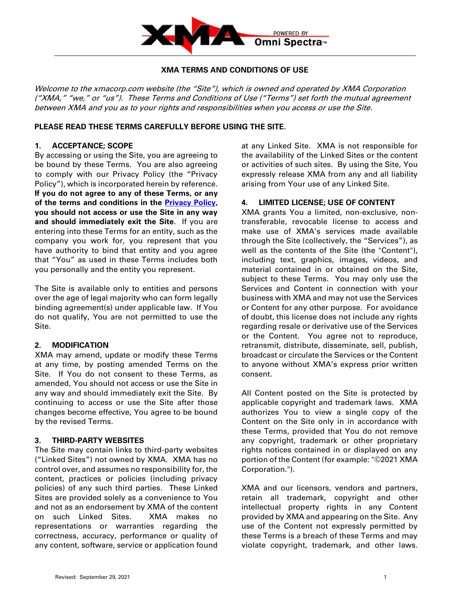

### **XMA TERMS AND CONDITIONS OF USE**

Welcome to the xmacorp.com website (the "Site"), which is owned and operated by XMA Corporation ("XMA," "we," or "us"). These Terms and Conditions of Use ("Terms") set forth the mutual agreement between XMA and you as to your rights and responsibilities when you access or use the Site.

### **PLEASE READ THESE TERMS CAREFULLY BEFORE USING THE SITE.**

#### **1. ACCEPTANCE; SCOPE**

By accessing or using the Site, you are agreeing to be bound by these Terms. You are also agreeing to comply with our Privacy Policy (the "Privacy Policy"), which is incorporated herein by reference. **If you do not agree to any of these Terms, or any of the terms and conditions in the [Privacy Policy,](https://img1.wsimg.com/blobby/go/07273236-0ae8-4036-a334-e34e2fa74a63/downloads/XMA%20Corporation%20Privacy%20Policy.pdf?ver=1633004838680) you should not access or use the Site in any way and should immediately exit the Site**. If you are entering into these Terms for an entity, such as the company you work for, you represent that you have authority to bind that entity and you agree that "You" as used in these Terms includes both you personally and the entity you represent.

The Site is available only to entities and persons over the age of legal majority who can form legally binding agreement(s) under applicable law. If You do not qualify, You are not permitted to use the Site.

### **2. MODIFICATION**

XMA may amend, update or modify these Terms at any time, by posting amended Terms on the Site. If You do not consent to these Terms, as amended, You should not access or use the Site in any way and should immediately exit the Site. By continuing to access or use the Site after those changes become effective, You agree to be bound by the revised Terms.

#### **3. THIRD-PARTY WEBSITES**

The Site may contain links to third-party websites ("Linked Sites") not owned by XMA. XMA has no control over, and assumes no responsibility for, the content, practices or policies (including privacy policies) of any such third parties. These Linked Sites are provided solely as a convenience to You and not as an endorsement by XMA of the content on such Linked Sites. XMA makes no representations or warranties regarding the correctness, accuracy, performance or quality of any content, software, service or application found at any Linked Site. XMA is not responsible for the availability of the Linked Sites or the content or activities of such sites. By using the Site, You expressly release XMA from any and all liability arising from Your use of any Linked Site.

### **4. LIMITED LICENSE; USE OF CONTENT**

XMA grants You a limited, non-exclusive, nontransferable, revocable license to access and make use of XMA's services made available through the Site (collectively, the "Services"), as well as the contents of the Site (the "Content"), including text, graphics, images, videos, and material contained in or obtained on the Site, subject to these Terms. You may only use the Services and Content in connection with your business with XMA and may not use the Services or Content for any other purpose. For avoidance of doubt, this license does not include any rights regarding resale or derivative use of the Services or the Content. You agree not to reproduce, retransmit, distribute, disseminate, sell, publish, broadcast or circulate the Services or the Content to anyone without XMA's express prior written consent.

All Content posted on the Site is protected by applicable copyright and trademark laws. XMA authorizes You to view a single copy of the Content on the Site only in in accordance with these Terms, provided that You do not remove any copyright, trademark or other proprietary rights notices contained in or displayed on any portion of the Content (for example: "©2021 XMA Corporation.").

XMA and our licensors, vendors and partners, retain all trademark, copyright and other intellectual property rights in any Content provided by XMA and appearing on the Site. Any use of the Content not expressly permitted by these Terms is a breach of these Terms and may violate copyright, trademark, and other laws.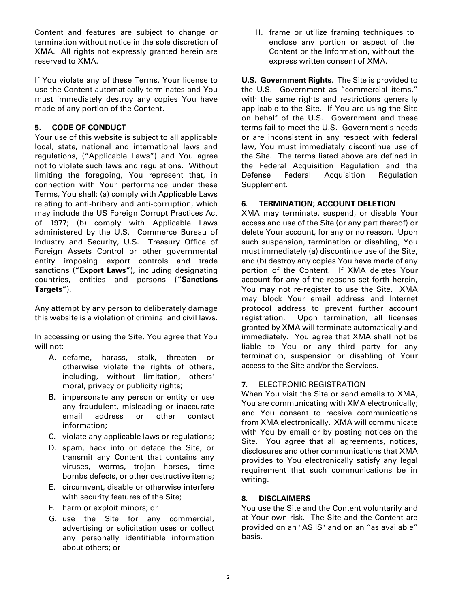Content and features are subject to change or termination without notice in the sole discretion of XMA. All rights not expressly granted herein are reserved to XMA.

If You violate any of these Terms, Your license to use the Content automatically terminates and You must immediately destroy any copies You have made of any portion of the Content.

# **5. CODE OF CONDUCT**

Your use of this website is subject to all applicable local, state, national and international laws and regulations, ("Applicable Laws") and You agree not to violate such laws and regulations. Without limiting the foregoing, You represent that, in connection with Your performance under these Terms, You shall: (a) comply with Applicable Laws relating to anti-bribery and anti-corruption, which may include the US Foreign Corrupt Practices Act of 1977; (b) comply with Applicable Laws administered by the U.S. Commerce Bureau of Industry and Security, U.S. Treasury Office of Foreign Assets Control or other governmental entity imposing export controls and trade sanctions (**"Export Laws"**), including designating countries, entities and persons (**"Sanctions Targets"**).

Any attempt by any person to deliberately damage this website is a violation of criminal and civil laws.

In accessing or using the Site, You agree that You will not:

- A. defame, harass, stalk, threaten or otherwise violate the rights of others, including, without limitation, others' moral, privacy or publicity rights;
- B. impersonate any person or entity or use any fraudulent, misleading or inaccurate email address or other contact information;
- C. violate any applicable laws or regulations;
- D. spam, hack into or deface the Site, or transmit any Content that contains any viruses, worms, trojan horses, time bombs defects, or other destructive items;
- E. circumvent, disable or otherwise interfere with security features of the Site;
- F. harm or exploit minors; or
- G. use the Site for any commercial, advertising or solicitation uses or collect any personally identifiable information about others; or

H. frame or utilize framing techniques to enclose any portion or aspect of the Content or the Information, without the express written consent of XMA.

**U.S. Government Rights**. The Site is provided to the U.S. Government as "commercial items," with the same rights and restrictions generally applicable to the Site. If You are using the Site on behalf of the U.S. Government and these terms fail to meet the U.S. Government's needs or are inconsistent in any respect with federal law, You must immediately discontinue use of the Site. The terms listed above are defined in the Federal Acquisition Regulation and the Defense Federal Acquisition Regulation Supplement.

## **6. TERMINATION; ACCOUNT DELETION**

XMA may terminate, suspend, or disable Your access and use of the Site (or any part thereof) or delete Your account, for any or no reason. Upon such suspension, termination or disabling, You must immediately (a) discontinue use of the Site, and (b) destroy any copies You have made of any portion of the Content. If XMA deletes Your account for any of the reasons set forth herein, You may not re-register to use the Site. XMA may block Your email address and Internet protocol address to prevent further account registration. Upon termination, all licenses granted by XMA will terminate automatically and immediately. You agree that XMA shall not be liable to You or any third party for any termination, suspension or disabling of Your access to the Site and/or the Services.

## **7.** ELECTRONIC REGISTRATION

When You visit the Site or send emails to XMA, You are communicating with XMA electronically; and You consent to receive communications from XMA electronically. XMA will communicate with You by email or by posting notices on the Site. You agree that all agreements, notices, disclosures and other communications that XMA provides to You electronically satisfy any legal requirement that such communications be in writing.

## **8. DISCLAIMERS**

You use the Site and the Content voluntarily and at Your own risk. The Site and the Content are provided on an "AS IS" and on an "as available" basis.